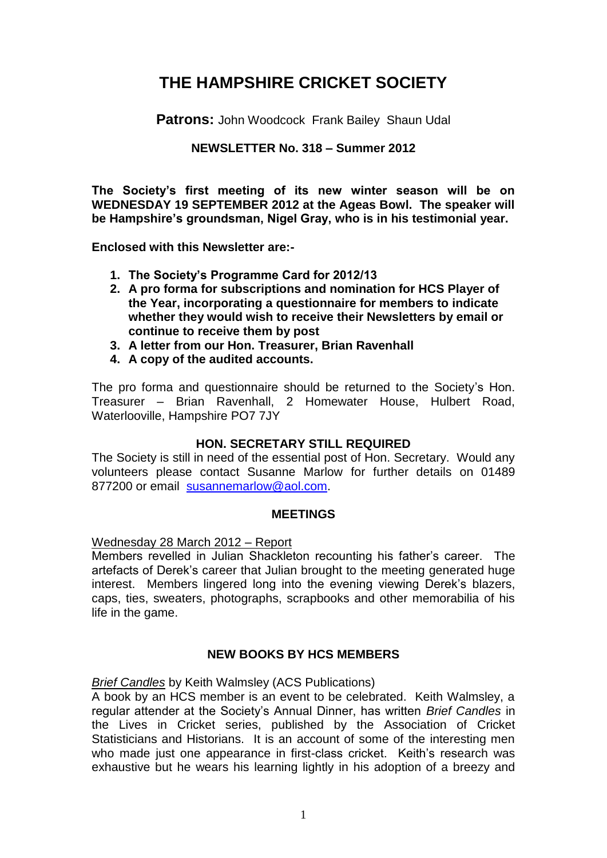# **THE HAMPSHIRE CRICKET SOCIETY**

**Patrons:** John Woodcock Frank Bailey Shaun Udal

## **NEWSLETTER No. 318 – Summer 2012**

**The Society's first meeting of its new winter season will be on WEDNESDAY 19 SEPTEMBER 2012 at the Ageas Bowl. The speaker will be Hampshire's groundsman, Nigel Gray, who is in his testimonial year.**

**Enclosed with this Newsletter are:-**

- **1. The Society's Programme Card for 2012/13**
- **2. A pro forma for subscriptions and nomination for HCS Player of the Year, incorporating a questionnaire for members to indicate whether they would wish to receive their Newsletters by email or continue to receive them by post**
- **3. A letter from our Hon. Treasurer, Brian Ravenhall**
- **4. A copy of the audited accounts.**

The pro forma and questionnaire should be returned to the Society's Hon. Treasurer – Brian Ravenhall, 2 Homewater House, Hulbert Road, Waterlooville, Hampshire PO7 7JY

## **HON. SECRETARY STILL REQUIRED**

The Society is still in need of the essential post of Hon. Secretary. Would any volunteers please contact Susanne Marlow for further details on 01489 877200 or email [susannemarlow@aol.com.](mailto:susannemarlow@aol.com)

#### **MEETINGS**

#### Wednesday 28 March 2012 – Report

Members revelled in Julian Shackleton recounting his father's career. The artefacts of Derek's career that Julian brought to the meeting generated huge interest. Members lingered long into the evening viewing Derek's blazers, caps, ties, sweaters, photographs, scrapbooks and other memorabilia of his life in the game.

## **NEW BOOKS BY HCS MEMBERS**

## *Brief Candles* by Keith Walmsley (ACS Publications)

A book by an HCS member is an event to be celebrated. Keith Walmsley, a regular attender at the Society's Annual Dinner, has written *Brief Candles* in the Lives in Cricket series, published by the Association of Cricket Statisticians and Historians. It is an account of some of the interesting men who made just one appearance in first-class cricket. Keith's research was exhaustive but he wears his learning lightly in his adoption of a breezy and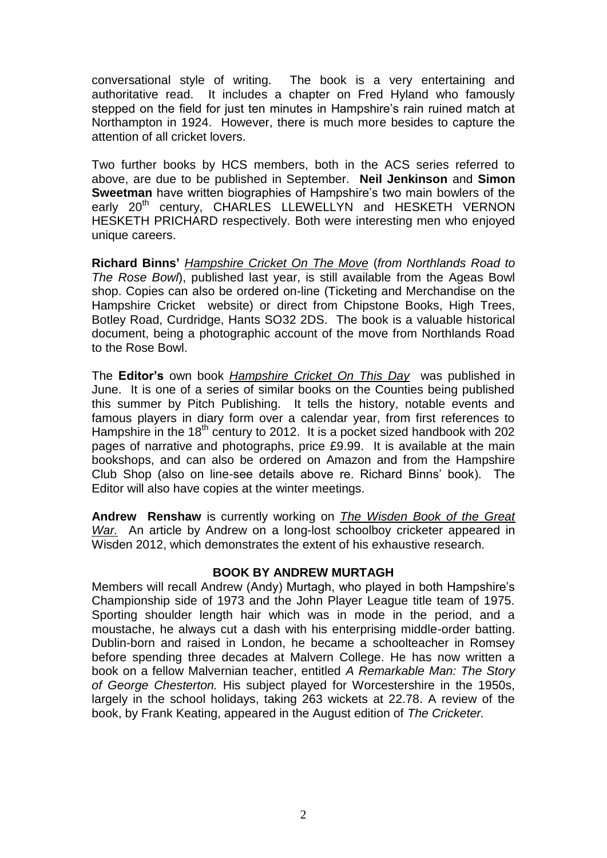conversational style of writing. The book is a very entertaining and authoritative read. It includes a chapter on Fred Hyland who famously stepped on the field for just ten minutes in Hampshire's rain ruined match at Northampton in 1924. However, there is much more besides to capture the attention of all cricket lovers.

Two further books by HCS members, both in the ACS series referred to above, are due to be published in September. **Neil Jenkinson** and **Simon Sweetman** have written biographies of Hampshire's two main bowlers of the early 20<sup>th</sup> century, CHARLES LLEWELLYN and HESKETH VERNON HESKETH PRICHARD respectively. Both were interesting men who enjoyed unique careers.

**Richard Binns'** *Hampshire Cricket On The Move* (*from Northlands Road to The Rose Bowl*), published last year, is still available from the Ageas Bowl shop. Copies can also be ordered on-line (Ticketing and Merchandise on the Hampshire Cricket website) or direct from Chipstone Books, High Trees, Botley Road, Curdridge, Hants SO32 2DS. The book is a valuable historical document, being a photographic account of the move from Northlands Road to the Rose Bowl.

The **Editor's** own book *Hampshire Cricket On This Day* was published in June. It is one of a series of similar books on the Counties being published this summer by Pitch Publishing. It tells the history, notable events and famous players in diary form over a calendar year, from first references to Hampshire in the  $18<sup>th</sup>$  century to 2012. It is a pocket sized handbook with 202 pages of narrative and photographs, price £9.99. It is available at the main bookshops, and can also be ordered on Amazon and from the Hampshire Club Shop (also on line-see details above re. Richard Binns' book). The Editor will also have copies at the winter meetings.

**Andrew Renshaw** is currently working on *The Wisden Book of the Great War.* An article by Andrew on a long-lost schoolboy cricketer appeared in Wisden 2012, which demonstrates the extent of his exhaustive research.

#### **BOOK BY ANDREW MURTAGH**

Members will recall Andrew (Andy) Murtagh, who played in both Hampshire's Championship side of 1973 and the John Player League title team of 1975. Sporting shoulder length hair which was in mode in the period, and a moustache, he always cut a dash with his enterprising middle-order batting. Dublin-born and raised in London, he became a schoolteacher in Romsey before spending three decades at Malvern College. He has now written a book on a fellow Malvernian teacher, entitled *A Remarkable Man: The Story of George Chesterton.* His subject played for Worcestershire in the 1950s, largely in the school holidays, taking 263 wickets at 22.78. A review of the book, by Frank Keating, appeared in the August edition of *The Cricketer.*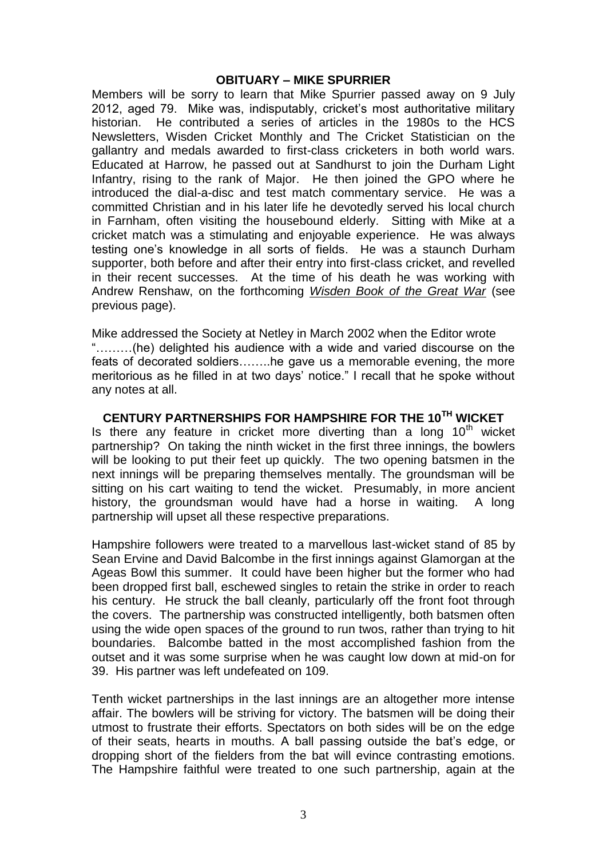#### **OBITUARY – MIKE SPURRIER**

Members will be sorry to learn that Mike Spurrier passed away on 9 July 2012, aged 79. Mike was, indisputably, cricket's most authoritative military historian. He contributed a series of articles in the 1980s to the HCS Newsletters, Wisden Cricket Monthly and The Cricket Statistician on the gallantry and medals awarded to first-class cricketers in both world wars. Educated at Harrow, he passed out at Sandhurst to join the Durham Light Infantry, rising to the rank of Major. He then joined the GPO where he introduced the dial-a-disc and test match commentary service. He was a committed Christian and in his later life he devotedly served his local church in Farnham, often visiting the housebound elderly. Sitting with Mike at a cricket match was a stimulating and enjoyable experience. He was always testing one's knowledge in all sorts of fields. He was a staunch Durham supporter, both before and after their entry into first-class cricket, and revelled in their recent successes. At the time of his death he was working with Andrew Renshaw, on the forthcoming *Wisden Book of the Great War* (see previous page).

Mike addressed the Society at Netley in March 2002 when the Editor wrote "………(he) delighted his audience with a wide and varied discourse on the feats of decorated soldiers……..he gave us a memorable evening, the more meritorious as he filled in at two days' notice." I recall that he spoke without any notes at all.

## **CENTURY PARTNERSHIPS FOR HAMPSHIRE FOR THE 10TH WICKET**

Is there any feature in cricket more diverting than a long  $10<sup>th</sup>$  wicket partnership? On taking the ninth wicket in the first three innings, the bowlers will be looking to put their feet up quickly. The two opening batsmen in the next innings will be preparing themselves mentally. The groundsman will be sitting on his cart waiting to tend the wicket. Presumably, in more ancient history, the groundsman would have had a horse in waiting. A long partnership will upset all these respective preparations.

Hampshire followers were treated to a marvellous last-wicket stand of 85 by Sean Ervine and David Balcombe in the first innings against Glamorgan at the Ageas Bowl this summer. It could have been higher but the former who had been dropped first ball, eschewed singles to retain the strike in order to reach his century. He struck the ball cleanly, particularly off the front foot through the covers. The partnership was constructed intelligently, both batsmen often using the wide open spaces of the ground to run twos, rather than trying to hit boundaries. Balcombe batted in the most accomplished fashion from the outset and it was some surprise when he was caught low down at mid-on for 39. His partner was left undefeated on 109.

Tenth wicket partnerships in the last innings are an altogether more intense affair. The bowlers will be striving for victory. The batsmen will be doing their utmost to frustrate their efforts. Spectators on both sides will be on the edge of their seats, hearts in mouths. A ball passing outside the bat's edge, or dropping short of the fielders from the bat will evince contrasting emotions. The Hampshire faithful were treated to one such partnership, again at the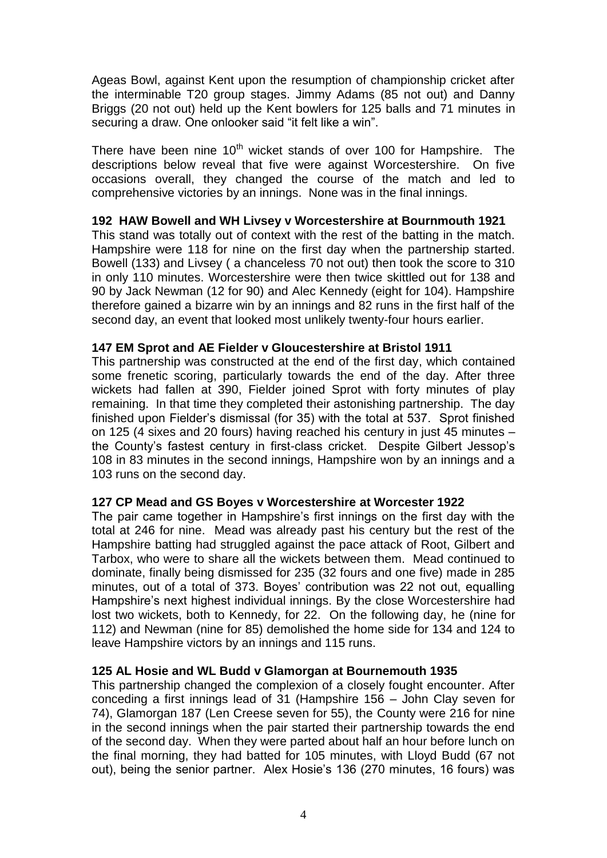Ageas Bowl, against Kent upon the resumption of championship cricket after the interminable T20 group stages. Jimmy Adams (85 not out) and Danny Briggs (20 not out) held up the Kent bowlers for 125 balls and 71 minutes in securing a draw. One onlooker said "it felt like a win".

There have been nine  $10<sup>th</sup>$  wicket stands of over 100 for Hampshire. The descriptions below reveal that five were against Worcestershire. On five occasions overall, they changed the course of the match and led to comprehensive victories by an innings. None was in the final innings.

## **192 HAW Bowell and WH Livsey v Worcestershire at Bournmouth 1921**

This stand was totally out of context with the rest of the batting in the match. Hampshire were 118 for nine on the first day when the partnership started. Bowell (133) and Livsey ( a chanceless 70 not out) then took the score to 310 in only 110 minutes. Worcestershire were then twice skittled out for 138 and 90 by Jack Newman (12 for 90) and Alec Kennedy (eight for 104). Hampshire therefore gained a bizarre win by an innings and 82 runs in the first half of the second day, an event that looked most unlikely twenty-four hours earlier.

#### **147 EM Sprot and AE Fielder v Gloucestershire at Bristol 1911**

This partnership was constructed at the end of the first day, which contained some frenetic scoring, particularly towards the end of the day. After three wickets had fallen at 390, Fielder joined Sprot with forty minutes of play remaining. In that time they completed their astonishing partnership. The day finished upon Fielder's dismissal (for 35) with the total at 537. Sprot finished on 125 (4 sixes and 20 fours) having reached his century in just 45 minutes – the County's fastest century in first-class cricket. Despite Gilbert Jessop's 108 in 83 minutes in the second innings, Hampshire won by an innings and a 103 runs on the second day.

#### **127 CP Mead and GS Boyes v Worcestershire at Worcester 1922**

The pair came together in Hampshire's first innings on the first day with the total at 246 for nine. Mead was already past his century but the rest of the Hampshire batting had struggled against the pace attack of Root, Gilbert and Tarbox, who were to share all the wickets between them. Mead continued to dominate, finally being dismissed for 235 (32 fours and one five) made in 285 minutes, out of a total of 373. Boyes' contribution was 22 not out, equalling Hampshire's next highest individual innings. By the close Worcestershire had lost two wickets, both to Kennedy, for 22. On the following day, he (nine for 112) and Newman (nine for 85) demolished the home side for 134 and 124 to leave Hampshire victors by an innings and 115 runs.

## **125 AL Hosie and WL Budd v Glamorgan at Bournemouth 1935**

This partnership changed the complexion of a closely fought encounter. After conceding a first innings lead of 31 (Hampshire 156 – John Clay seven for 74), Glamorgan 187 (Len Creese seven for 55), the County were 216 for nine in the second innings when the pair started their partnership towards the end of the second day. When they were parted about half an hour before lunch on the final morning, they had batted for 105 minutes, with Lloyd Budd (67 not out), being the senior partner. Alex Hosie's 136 (270 minutes, 16 fours) was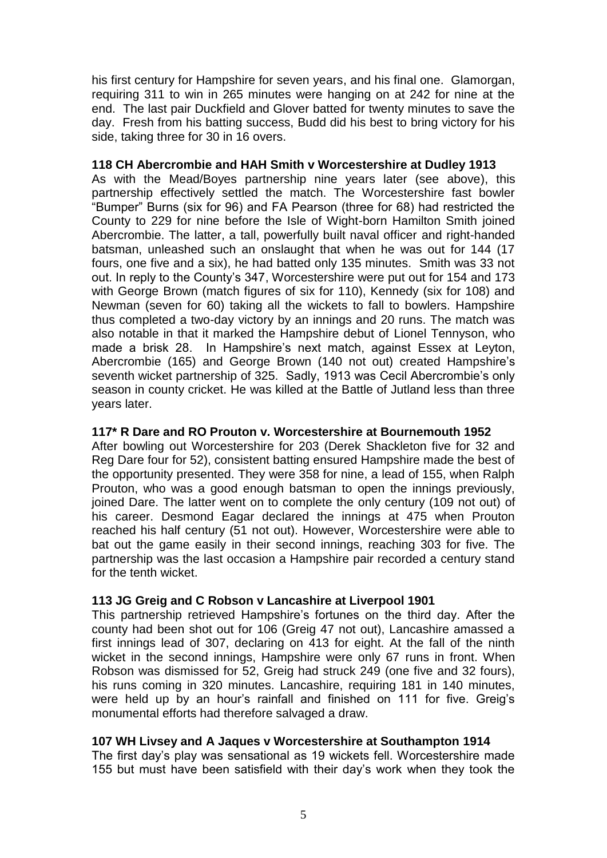his first century for Hampshire for seven years, and his final one. Glamorgan, requiring 311 to win in 265 minutes were hanging on at 242 for nine at the end. The last pair Duckfield and Glover batted for twenty minutes to save the day. Fresh from his batting success, Budd did his best to bring victory for his side, taking three for 30 in 16 overs.

## **118 CH Abercrombie and HAH Smith v Worcestershire at Dudley 1913**

As with the Mead/Boyes partnership nine years later (see above), this partnership effectively settled the match. The Worcestershire fast bowler "Bumper" Burns (six for 96) and FA Pearson (three for 68) had restricted the County to 229 for nine before the Isle of Wight-born Hamilton Smith joined Abercrombie. The latter, a tall, powerfully built naval officer and right-handed batsman, unleashed such an onslaught that when he was out for 144 (17 fours, one five and a six), he had batted only 135 minutes. Smith was 33 not out. In reply to the County's 347, Worcestershire were put out for 154 and 173 with George Brown (match figures of six for 110), Kennedy (six for 108) and Newman (seven for 60) taking all the wickets to fall to bowlers. Hampshire thus completed a two-day victory by an innings and 20 runs. The match was also notable in that it marked the Hampshire debut of Lionel Tennyson, who made a brisk 28. In Hampshire's next match, against Essex at Leyton, Abercrombie (165) and George Brown (140 not out) created Hampshire's seventh wicket partnership of 325. Sadly, 1913 was Cecil Abercrombie's only season in county cricket. He was killed at the Battle of Jutland less than three years later.

## **117\* R Dare and RO Prouton v. Worcestershire at Bournemouth 1952**

After bowling out Worcestershire for 203 (Derek Shackleton five for 32 and Reg Dare four for 52), consistent batting ensured Hampshire made the best of the opportunity presented. They were 358 for nine, a lead of 155, when Ralph Prouton, who was a good enough batsman to open the innings previously, joined Dare. The latter went on to complete the only century (109 not out) of his career. Desmond Eagar declared the innings at 475 when Prouton reached his half century (51 not out). However, Worcestershire were able to bat out the game easily in their second innings, reaching 303 for five. The partnership was the last occasion a Hampshire pair recorded a century stand for the tenth wicket.

## **113 JG Greig and C Robson v Lancashire at Liverpool 1901**

This partnership retrieved Hampshire's fortunes on the third day. After the county had been shot out for 106 (Greig 47 not out), Lancashire amassed a first innings lead of 307, declaring on 413 for eight. At the fall of the ninth wicket in the second innings, Hampshire were only 67 runs in front. When Robson was dismissed for 52, Greig had struck 249 (one five and 32 fours), his runs coming in 320 minutes. Lancashire, requiring 181 in 140 minutes, were held up by an hour's rainfall and finished on 111 for five. Greig's monumental efforts had therefore salvaged a draw.

## **107 WH Livsey and A Jaques v Worcestershire at Southampton 1914**

The first day's play was sensational as 19 wickets fell. Worcestershire made 155 but must have been satisfield with their day's work when they took the